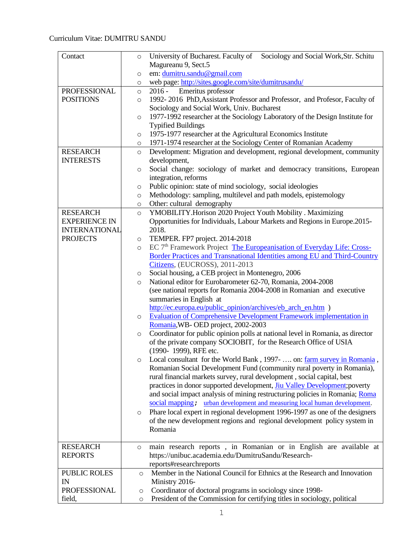| Contact              | University of Bucharest. Faculty of Sociology and Social Work, Str. Schitu<br>$\circ$        |  |
|----------------------|----------------------------------------------------------------------------------------------|--|
|                      | Magureanu 9, Sect.5                                                                          |  |
|                      | em: dumitru.sandu@gmail.com<br>$\circ$                                                       |  |
|                      | web page: http://sites.google.com/site/dumitrusandu/<br>$\circ$                              |  |
| <b>PROFESSIONAL</b>  | 2016 - Emeritus professor<br>$\circ$                                                         |  |
| <b>POSITIONS</b>     | 1992-2016 PhD, Assistant Professor and Professor, and Profesor, Faculty of<br>$\circ$        |  |
|                      | Sociology and Social Work, Univ. Bucharest                                                   |  |
|                      | 1977-1992 researcher at the Sociology Laboratory of the Design Institute for<br>$\circ$      |  |
|                      | <b>Typified Buildings</b>                                                                    |  |
|                      | 1975-1977 researcher at the Agricultural Economics Institute<br>$\circ$                      |  |
|                      | 1971-1974 researcher at the Sociology Center of Romanian Academy<br>$\circ$                  |  |
| <b>RESEARCH</b>      | Development: Migration and development, regional development, community<br>$\circ$           |  |
| <b>INTERESTS</b>     | development,                                                                                 |  |
|                      | Social change: sociology of market and democracy transitions, European<br>$\circ$            |  |
|                      | integration, reforms                                                                         |  |
|                      | Public opinion: state of mind sociology, social ideologies<br>O                              |  |
|                      | Methodology: sampling, multilevel and path models, epistemology<br>$\circ$                   |  |
|                      | Other: cultural demography<br>$\circ$                                                        |  |
| <b>RESEARCH</b>      | YMOBILITY.Horison 2020 Project Youth Mobility . Maximizing<br>$\circ$                        |  |
| <b>EXPERIENCE IN</b> | Opportunities for Individuals, Labour Markets and Regions in Europe.2015-                    |  |
| <b>INTERNATIONAL</b> | 2018.                                                                                        |  |
| <b>PROJECTS</b>      | TEMPER. FP7 project. 2014-2018<br>$\circ$                                                    |  |
|                      | EC 7 <sup>th</sup> Framework Project The Europeanisation of Everyday Life: Cross-<br>$\circ$ |  |
|                      | <b>Border Practices and Transnational Identities among EU and Third-Country</b>              |  |
|                      | Citizens, (EUCROSS), 2011-2013                                                               |  |
|                      | Social housing, a CEB project in Montenegro, 2006<br>O                                       |  |
|                      | National editor for Eurobarometer 62-70, Romania, 2004-2008<br>$\circ$                       |  |
|                      | (see national reports for Romania 2004-2008 in Romanian and executive                        |  |
|                      | summaries in English at                                                                      |  |
|                      | http://ec.europa.eu/public_opinion/archives/eb_arch_en.htm )                                 |  |
|                      | <b>Evaluation of Comprehensive Development Framework implementation in</b><br>$\circ$        |  |
|                      | Romania, WB-OED project, 2002-2003                                                           |  |
|                      | Coordinator for public opinion polls at national level in Romania, as director<br>$\circ$    |  |
|                      | of the private company SOCIOBIT, for the Research Office of USIA                             |  |
|                      | (1990-1999), RFE etc.                                                                        |  |
|                      | Local consultant for the World Bank, 1997-  on: farm survey in Romania,<br>$\circ$           |  |
|                      | Romanian Social Development Fund (community rural poverty in Romania),                       |  |
|                      | rural financial markets survey, rural development, social capital, best                      |  |
|                      | practices in donor supported development, <i>Jiu Valley Development</i> ; poverty            |  |
|                      | and social impact analysis of mining restructuring policies in Romania; Roma                 |  |
|                      | social mapping; urban development and measuring local human development.                     |  |
|                      | Phare local expert in regional development 1996-1997 as one of the designers<br>$\circ$      |  |
|                      | of the new development regions and regional development policy system in                     |  |
|                      | Romania                                                                                      |  |
|                      |                                                                                              |  |
| <b>RESEARCH</b>      | main research reports, in Romanian or in English are available at<br>$\circ$                 |  |
| <b>REPORTS</b>       | https://unibuc.academia.edu/DumitruSandu/Research-                                           |  |
|                      | reports#researchreports                                                                      |  |
| <b>PUBLIC ROLES</b>  | Member in the National Council for Ethnics at the Research and Innovation<br>$\circ$         |  |
| IN                   | Ministry 2016-                                                                               |  |
| <b>PROFESSIONAL</b>  | Coordinator of doctoral programs in sociology since 1998-<br>$\circ$                         |  |
| field,               | President of the Commission for certifying titles in sociology, political<br>$\circ$         |  |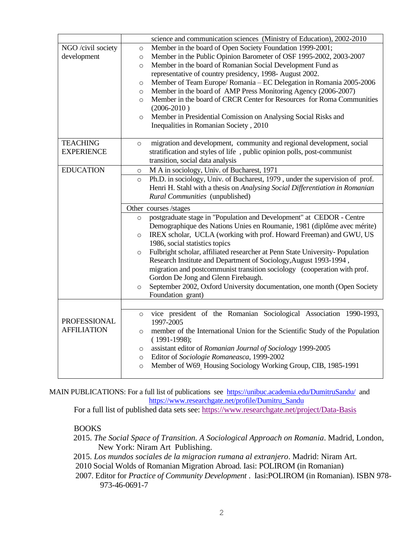|                     | science and communication sciences (Ministry of Education), 2002-2010                                                                      |
|---------------------|--------------------------------------------------------------------------------------------------------------------------------------------|
| NGO /civil society  | Member in the board of Open Society Foundation 1999-2001;<br>$\circ$                                                                       |
| development         | Member in the Public Opinion Barometer of OSF 1995-2002, 2003-2007<br>$\circ$                                                              |
|                     | Member in the board of Romanian Social Development Fund as<br>$\circ$                                                                      |
|                     | representative of country presidency, 1998- August 2002.<br>Member of Team Europe/ Romania - EC Delegation in Romania 2005-2006<br>$\circ$ |
|                     | Member in the board of AMP Press Monitoring Agency (2006-2007)<br>$\circ$                                                                  |
|                     | Member in the board of CRCR Center for Resources for Roma Communities<br>$\circ$                                                           |
|                     | $(2006-2010)$                                                                                                                              |
|                     | Member in Presidential Comission on Analysing Social Risks and<br>$\circ$                                                                  |
|                     | Inequalities in Romanian Society, 2010                                                                                                     |
|                     |                                                                                                                                            |
| <b>TEACHING</b>     | migration and development, community and regional development, social<br>$\circ$                                                           |
| <b>EXPERIENCE</b>   | stratification and styles of life, public opinion polls, post-communist                                                                    |
|                     | transition, social data analysis                                                                                                           |
| <b>EDUCATION</b>    | M A in sociology, Univ. of Bucharest, 1971<br>$\circ$<br>Ph.D. in sociology, Univ. of Bucharest, 1979, under the supervision of prof.      |
|                     | $\circ$<br>Henri H. Stahl with a thesis on Analysing Social Differentiation in Romanian                                                    |
|                     | Rural Communities (unpublished)                                                                                                            |
|                     |                                                                                                                                            |
|                     | Other courses /stages<br>postgraduate stage in "Population and Development" at CEDOR - Centre<br>$\circ$                                   |
|                     | Demographique des Nations Unies en Roumanie, 1981 (diplôme avec mérite)                                                                    |
|                     | IREX scholar, UCLA (working with prof. Howard Freeman) and GWU, US<br>$\circ$                                                              |
|                     | 1986, social statistics topics                                                                                                             |
|                     | Fulbright scholar, affiliated researcher at Penn State University-Population<br>$\circ$                                                    |
|                     | Research Institute and Department of Sociology, August 1993-1994,                                                                          |
|                     | migration and postcommunist transition sociology (cooperation with prof.                                                                   |
|                     | Gordon De Jong and Glenn Firebaugh.                                                                                                        |
|                     | September 2002, Oxford University documentation, one month (Open Society<br>$\circ$<br>Foundation grant)                                   |
|                     |                                                                                                                                            |
|                     | vice president of the Romanian Sociological Association 1990-1993,<br>$\circ$                                                              |
| <b>PROFESSIONAL</b> | 1997-2005                                                                                                                                  |
| <b>AFFILIATION</b>  | member of the International Union for the Scientific Study of the Population<br>$\circ$                                                    |
|                     | $(1991-1998);$                                                                                                                             |
|                     | assistant editor of Romanian Journal of Sociology 1999-2005<br>$\circ$                                                                     |
|                     | Editor of Sociologie Romaneasca, 1999-2002<br>$\circ$                                                                                      |
|                     | Member of W69_Housing Sociology Working Group, CIB, 1985-1991<br>$\circ$                                                                   |
|                     |                                                                                                                                            |

MAIN PUBLICATIONS: For a full list of publications see<https://unibuc.academia.edu/DumitruSandu/>and [https://www.researchgate.net/profile/Dumitru\\_Sandu](https://www.researchgate.net/profile/Dumitru_Sandu)

For a full list of published data sets see:<https://www.researchgate.net/project/Data-Basis>

## BOOKS

- 2015. *The Social Space of Transition. A Sociological Approach on Romania*. Madrid, London, New York: Niram Art Publishing.
- 2015. *Los mundos sociales de la migracion rumana al extranjero*. Madrid: Niram Art.
- 2010 Social Wolds of Romanian Migration Abroad. Iasi: POLIROM (in Romanian)
- 2007. Editor for *Practice of Community Development* . Iasi:POLIROM (in Romanian). ISBN 978- 973-46-0691-7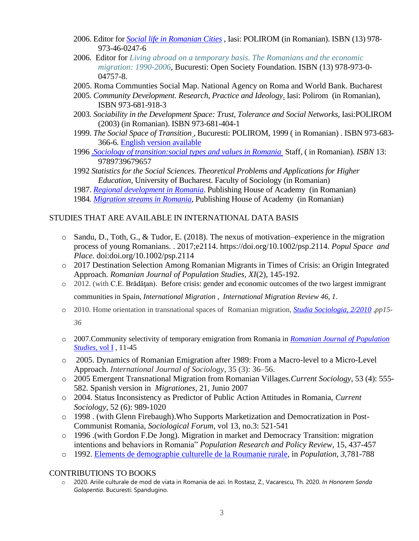- 2006. Editor for *[Social life in Romanian Cities](http://www.osf.ro/ro/fisier_publicatii.php?id_publicatie=58)* , Iasi: POLIROM (in Romanian). ISBN (13) 978- 973-46-0247-6
- 2006. Editor for *[Living abroad on a temporary basis. The Romanians and the economic](http://www.osf.ro/en/publicatii.php?pag=3)  [migration: 1990-2006,](http://www.osf.ro/en/publicatii.php?pag=3)* Bucuresti: Open Society Foundation. ISBN (13) 978-973-0- 04757-8.
- 2005. Roma Communties Social Map. National Agency on Roma and World Bank. Bucharest
- 2005. *Community Development. Research, Practice and Ideology*. Iasi: Polirom (in Romanian), ISBN 973-681-918-3
- 2003*. Sociability in the Development Space: Trust, Tolerance and Social Networks*, Iasi:POLIROM (2003) (in Romanian). ISBN 973-681-404-1
- 1999. *The Social Space of Transition* , Bucuresti: POLIROM, 1999 ( in Romanian) . ISBN 973-683- 366-6. [English version available](http://dumitru.sandu.googlepages.com/Socialspaceoftransition2.pdf)
- 1996 *[.Sociology of transition:social types and values in Romania](http://193.231.1.3/file.php/55/Studii_migratie-profesor/Suport_de_curs/SociologiaTranzitiei1996.rar)* Staff, ( in Romanian). *ISBN* 13: 9789739679657
- 1992 *Statistics for the Social Sciences. Theoretical Problems and Applications for Higher Education*, University of Bucharest. Faculty of Sociology (in Romanian)
- 1987. *[Regional development in Romania](http://dumitru.sandu.googlepages.com/DEVSTpartONE.pdf)*. Publishing House of Academy (in Romanian)
- 1984*. [Migration streams in Romania](http://193.231.1.3/file.php/55/Studii_migratie-profesor/Fluxurile_de_migratie_in_Romania/Fluxurile_de_migratie_in_Romania_1984.pdf)*, Publishing House of Academy (in Romanian)

## STUDIES THAT ARE AVAILABLE IN INTERNATIONAL DATA BASIS

- o Sandu, D., Toth, G., & Tudor, E. (2018). The nexus of motivation–experience in the migration process of young Romanians. . 2017;e2114. https://doi.org/10.1002/psp.2114. *Popul Space and Place*. doi:doi.org/10.1002/psp.2114
- o 2017 Destination Selection Among Romanian Migrants in Times of Crisis: an Origin Integrated Approach. *Romanian Journal of Population Studies, XI*(2), 145-192.
- o 2012. (with C.E. Brădăţan). Before crisis: gender and economic outcomes of the two largest immigrant

communities in Spain, *International Migration* , *International Migration Review 46, 1.*

- o 2010. Home orientation in transnational spaces of Romanian migration, *[Studia Sociologia, 2/2010](http://studia.ubbcluj.ro/download/pdf/560.pdf) ,pp15- 36*
- o 2007.Community selectivity of temporary emigration from Romania in *[Romanian Journal of Population](http://www.ceeol.com/aspx/getdocument.aspx?logid=5&id=ce1d1510-f098-4666-95c3-87a823c36039)  [Studies,](http://www.ceeol.com/aspx/getdocument.aspx?logid=5&id=ce1d1510-f098-4666-95c3-87a823c36039) vol I, 11-45*
- o 2005. Dynamics of Romanian Emigration after 1989: From a Macro-level to a Micro-Level Approach. *International Journal of Sociology*, 35 (3): 36–56.
- o 2005 Emergent Transnational Migration from Romanian Villages.*Current Sociology*, 53 (4): 555- 582. Spanish version in *Migrationes,* 21, Junio 2007
- o 2004. Status Inconsistency as Predictor of Public Action Attitudes in Romania, *Current Sociology*, 52 (6): 989-1020
- o 1998 . (with Glenn Firebaugh).Who Supports Marketization and Democratization in Post-Communist Romania, *Sociological Forum*, vol 13, no.3: 521-541
- o 1996 .(with Gordon F.De Jong). Migration in market and Democracy Transition: migration intentions and behaviors in Romania" *Population Research and Policy Review,* 15, 437-457
- o 1992. [Elements de demographie culturelle de la Roumanie rurale,](http://www.persee.fr/showPage.do;jsessionid=1CD8DF4716CCC33C7262F3C82EAB2C6E.vesta?urn=pop_0032-4663_1992_num_47_3_3871) in *Population, 3*,781-788

## CONTRIBUTIONS TO BOOKS

o 2020. Ariile culturale de mod de viata in Romania de azi. In Rostasz, Z., Vacarescu, Th. 2020. *In Honorem Sanda Golopentia*. Bucuresti: Spandugino.